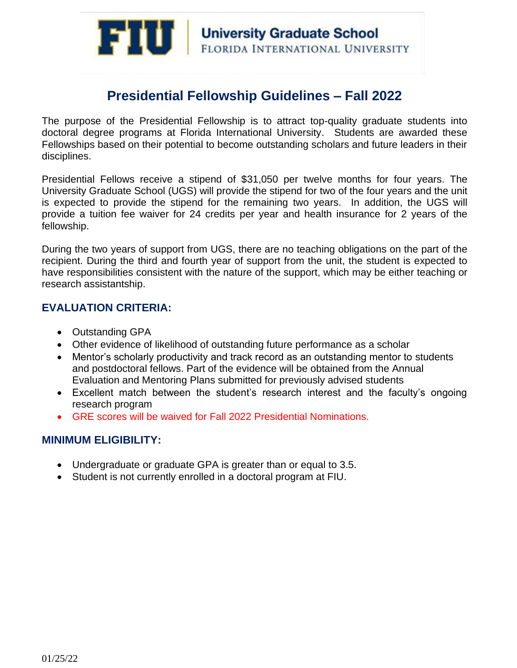

# **Presidential Fellowship Guidelines – Fall 2022**

The purpose of the Presidential Fellowship is to attract top-quality graduate students into doctoral degree programs at Florida International University. Students are awarded these Fellowships based on their potential to become outstanding scholars and future leaders in their disciplines.

Presidential Fellows receive a stipend of \$31,050 per twelve months for four years. The University Graduate School (UGS) will provide the stipend for two of the four years and the unit is expected to provide the stipend for the remaining two years. In addition, the UGS will provide a tuition fee waiver for 24 credits per year and health insurance for 2 years of the fellowship.

During the two years of support from UGS, there are no teaching obligations on the part of the recipient. During the third and fourth year of support from the unit, the student is expected to have responsibilities consistent with the nature of the support, which may be either teaching or research assistantship.

# **EVALUATION CRITERIA:**

- Outstanding GPA
- Other evidence of likelihood of outstanding future performance as a scholar
- Mentor's scholarly productivity and track record as an outstanding mentor to students and postdoctoral fellows. Part of the evidence will be obtained from the Annual Evaluation and Mentoring Plans submitted for previously advised students
- Excellent match between the student's research interest and the faculty's ongoing research program
- GRE scores will be waived for Fall 2022 Presidential Nominations.

# **MINIMUM ELIGIBILITY:**

- Undergraduate or graduate GPA is greater than or equal to 3.5.
- Student is not currently enrolled in a doctoral program at FIU.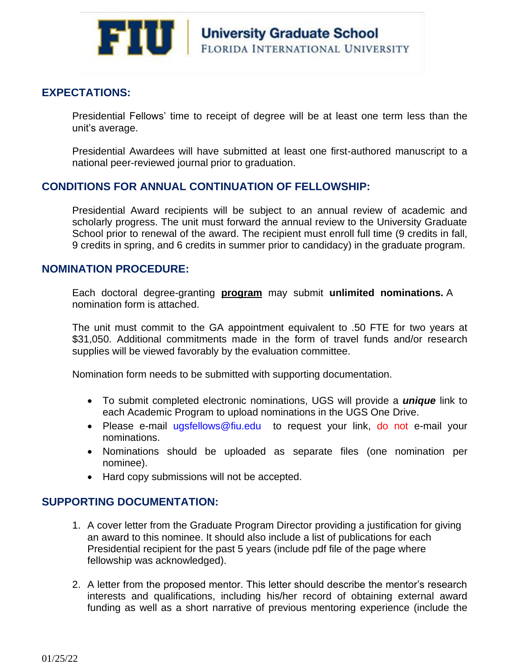

# **EXPECTATIONS:**

Presidential Fellows' time to receipt of degree will be at least one term less than the unit's average.

Presidential Awardees will have submitted at least one first-authored manuscript to a national peer-reviewed journal prior to graduation.

# **CONDITIONS FOR ANNUAL CONTINUATION OF FELLOWSHIP:**

Presidential Award recipients will be subject to an annual review of academic and scholarly progress. The unit must forward the annual review to the University Graduate School prior to renewal of the award. The recipient must enroll full time (9 credits in fall, 9 credits in spring, and 6 credits in summer prior to candidacy) in the graduate program.

### **NOMINATION PROCEDURE:**

Each doctoral degree-granting **program** may submit **unlimited nominations.** A nomination form is attached.

The unit must commit to the GA appointment equivalent to .50 FTE for two years at \$31,050. Additional commitments made in the form of travel funds and/or research supplies will be viewed favorably by the evaluation committee.

Nomination form needs to be submitted with supporting documentation.

- To submit completed electronic nominations, UGS will provide a *unique* link to each Academic Program to upload nominations in the UGS One Drive.
- Please e-mail [ugsfellows@fiu.edu](mailto:ugsfellows@fiu.edu) to request your link, do not e-mail your nominations.
- Nominations should be uploaded as separate files (one nomination per nominee).
- Hard copy submissions will not be accepted.

# **SUPPORTING DOCUMENTATION:**

- 1. A cover letter from the Graduate Program Director providing a justification for giving an award to this nominee. It should also include a list of publications for each Presidential recipient for the past 5 years (include pdf file of the page where fellowship was acknowledged).
- 2. A letter from the proposed mentor. This letter should describe the mentor's research interests and qualifications, including his/her record of obtaining external award funding as well as a short narrative of previous mentoring experience (include the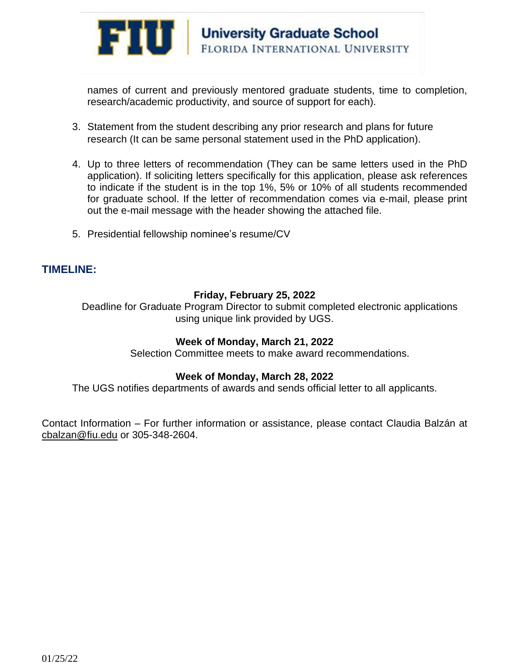

names of current and previously mentored graduate students, time to completion, research/academic productivity, and source of support for each).

- 3. Statement from the student describing any prior research and plans for future research (It can be same personal statement used in the PhD application).
- 4. Up to three letters of recommendation (They can be same letters used in the PhD application). If soliciting letters specifically for this application, please ask references to indicate if the student is in the top 1%, 5% or 10% of all students recommended for graduate school. If the letter of recommendation comes via e-mail, please print out the e-mail message with the header showing the attached file.
- 5. Presidential fellowship nominee's resume/CV

#### **TIMELINE:**

#### **Friday, February 25, 2022**

Deadline for Graduate Program Director to submit completed electronic applications using unique link provided by UGS.

#### **Week of Monday, March 21, 2022**

Selection Committee meets to make award recommendations.

#### **Week of Monday, March 28, 2022**

The UGS notifies departments of awards and sends official letter to all applicants.

Contact Information – For further information or assistance, please contact Claudia Balzán at [cbalzan@fiu.edu](mailto:cbalzan@fiu.edu) or 305-348-2604.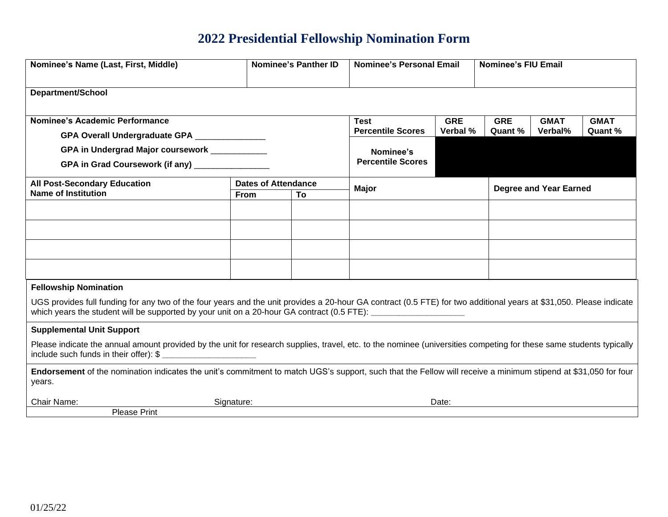# **2022 Presidential Fellowship Nomination Form**

| Nominee's Name (Last, First, Middle)                                                                                                                                                                                                                                                  |                            | <b>Nominee's Panther ID</b> | <b>Nominee's Personal Email</b>         |                        | <b>Nominee's FIU Email</b>    |                        |                        |  |  |  |  |  |
|---------------------------------------------------------------------------------------------------------------------------------------------------------------------------------------------------------------------------------------------------------------------------------------|----------------------------|-----------------------------|-----------------------------------------|------------------------|-------------------------------|------------------------|------------------------|--|--|--|--|--|
| <b>Department/School</b>                                                                                                                                                                                                                                                              |                            |                             |                                         |                        |                               |                        |                        |  |  |  |  |  |
|                                                                                                                                                                                                                                                                                       |                            |                             |                                         |                        |                               |                        |                        |  |  |  |  |  |
| Nominee's Academic Performance                                                                                                                                                                                                                                                        |                            |                             | <b>Test</b><br><b>Percentile Scores</b> | <b>GRE</b><br>Verbal % | <b>GRE</b><br>Quant %         | <b>GMAT</b><br>Verbal% | <b>GMAT</b><br>Quant % |  |  |  |  |  |
| GPA Overall Undergraduate GPA _______________                                                                                                                                                                                                                                         |                            |                             |                                         |                        |                               |                        |                        |  |  |  |  |  |
| GPA in Undergrad Major coursework ___________                                                                                                                                                                                                                                         |                            |                             | Nominee's                               |                        |                               |                        |                        |  |  |  |  |  |
| GPA in Grad Coursework (if any) _______________                                                                                                                                                                                                                                       | <b>Percentile Scores</b>   |                             |                                         |                        |                               |                        |                        |  |  |  |  |  |
| <b>All Post-Secondary Education</b>                                                                                                                                                                                                                                                   | <b>Dates of Attendance</b> |                             | <b>Major</b>                            |                        | <b>Degree and Year Earned</b> |                        |                        |  |  |  |  |  |
| Name of Institution                                                                                                                                                                                                                                                                   | From                       | To                          |                                         |                        |                               |                        |                        |  |  |  |  |  |
|                                                                                                                                                                                                                                                                                       |                            |                             |                                         |                        |                               |                        |                        |  |  |  |  |  |
|                                                                                                                                                                                                                                                                                       |                            |                             |                                         |                        |                               |                        |                        |  |  |  |  |  |
|                                                                                                                                                                                                                                                                                       |                            |                             |                                         |                        |                               |                        |                        |  |  |  |  |  |
|                                                                                                                                                                                                                                                                                       |                            |                             |                                         |                        |                               |                        |                        |  |  |  |  |  |
| <b>Fellowship Nomination</b>                                                                                                                                                                                                                                                          |                            |                             |                                         |                        |                               |                        |                        |  |  |  |  |  |
| UGS provides full funding for any two of the four years and the unit provides a 20-hour GA contract (0.5 FTE) for two additional years at \$31,050. Please indicate<br>which years the student will be supported by your unit on a 20-hour GA contract (0.5 FTE): ___________________ |                            |                             |                                         |                        |                               |                        |                        |  |  |  |  |  |
| <b>Supplemental Unit Support</b>                                                                                                                                                                                                                                                      |                            |                             |                                         |                        |                               |                        |                        |  |  |  |  |  |
| Please indicate the annual amount provided by the unit for research supplies, travel, etc. to the nominee (universities competing for these same students typically                                                                                                                   |                            |                             |                                         |                        |                               |                        |                        |  |  |  |  |  |
| Endorsement of the nomination indicates the unit's commitment to match UGS's support, such that the Fellow will receive a minimum stipend at \$31,050 for four<br>years.                                                                                                              |                            |                             |                                         |                        |                               |                        |                        |  |  |  |  |  |
| Chair Name:                                                                                                                                                                                                                                                                           | Signature:                 |                             |                                         | Date:                  |                               |                        |                        |  |  |  |  |  |
| <b>Please Print</b>                                                                                                                                                                                                                                                                   |                            |                             |                                         |                        |                               |                        |                        |  |  |  |  |  |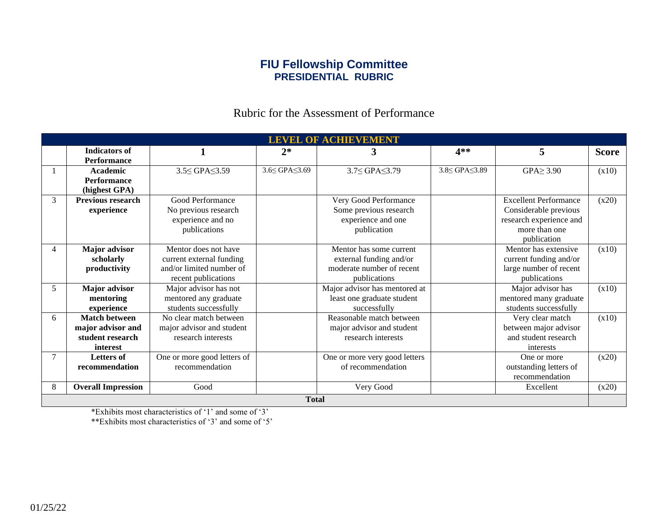# **FIU Fellowship Committee PRESIDENTIAL RUBRIC**

# Rubric for the Assessment of Performance

| <b>LEVEL OF ACHIEVEMENT</b> |                           |                             |               |                               |                            |                              |              |  |  |  |  |
|-----------------------------|---------------------------|-----------------------------|---------------|-------------------------------|----------------------------|------------------------------|--------------|--|--|--|--|
|                             | <b>Indicators of</b>      |                             | $2*$          | 3                             | 4**                        | 5                            | <b>Score</b> |  |  |  |  |
|                             | <b>Performance</b>        |                             |               |                               |                            |                              |              |  |  |  |  |
|                             | <b>Academic</b>           | 3.5≤ GPA≤3.59               | 3.6≤ GPA≤3.69 | 3.7≤ GPA≤3.79                 | $3.8 \leq$ GPA $\leq$ 3.89 | $GPA \geq 3.90$              | (x10)        |  |  |  |  |
|                             | <b>Performance</b>        |                             |               |                               |                            |                              |              |  |  |  |  |
|                             | (highest GPA)             |                             |               |                               |                            |                              |              |  |  |  |  |
| 3                           | <b>Previous research</b>  | Good Performance            |               | Very Good Performance         |                            | <b>Excellent Performance</b> | (x20)        |  |  |  |  |
|                             | experience                | No previous research        |               | Some previous research        |                            | Considerable previous        |              |  |  |  |  |
|                             |                           | experience and no           |               | experience and one            |                            | research experience and      |              |  |  |  |  |
|                             |                           | publications                |               | publication                   |                            | more than one                |              |  |  |  |  |
|                             |                           |                             |               |                               |                            | publication                  |              |  |  |  |  |
| 4                           | Major advisor             | Mentor does not have        |               | Mentor has some current       |                            | Mentor has extensive         | (x10)        |  |  |  |  |
|                             | scholarly                 | current external funding    |               | external funding and/or       |                            | current funding and/or       |              |  |  |  |  |
|                             | productivity              | and/or limited number of    |               | moderate number of recent     |                            | large number of recent       |              |  |  |  |  |
|                             |                           | recent publications         |               | publications                  |                            | publications                 |              |  |  |  |  |
| 5                           | Major advisor             | Major advisor has not       |               | Major advisor has mentored at |                            | Major advisor has            | (x10)        |  |  |  |  |
|                             | mentoring                 | mentored any graduate       |               | least one graduate student    |                            | mentored many graduate       |              |  |  |  |  |
|                             | experience                | students successfully       |               | successfully                  |                            | students successfully        |              |  |  |  |  |
| 6                           | <b>Match between</b>      | No clear match between      |               | Reasonable match between      |                            | Very clear match             | (x10)        |  |  |  |  |
|                             | major advisor and         | major advisor and student   |               | major advisor and student     |                            | between major advisor        |              |  |  |  |  |
|                             | student research          | research interests          |               | research interests            |                            | and student research         |              |  |  |  |  |
|                             | interest                  |                             |               |                               |                            | interests                    |              |  |  |  |  |
| 7                           | <b>Letters of</b>         | One or more good letters of |               | One or more very good letters |                            | One or more                  | (x20)        |  |  |  |  |
|                             | recommendation            | recommendation              |               | of recommendation             |                            | outstanding letters of       |              |  |  |  |  |
|                             |                           |                             |               |                               |                            | recommendation               |              |  |  |  |  |
| 8                           | <b>Overall Impression</b> | Good                        |               | Very Good                     |                            | Excellent                    | (x20)        |  |  |  |  |
| <b>Total</b>                |                           |                             |               |                               |                            |                              |              |  |  |  |  |

\*Exhibits most characteristics of '1' and some of '3'

\*\*Exhibits most characteristics of '3' and some of '5'